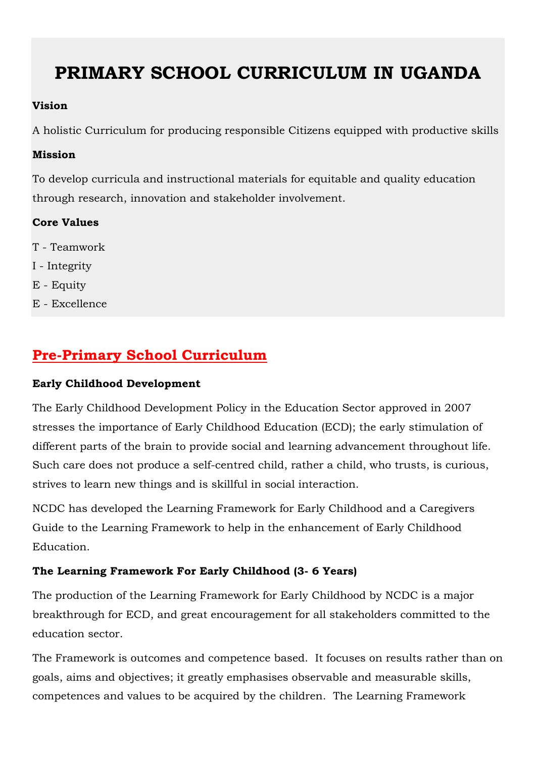# **PRIMARY SCHOOL CURRICULUM IN UGANDA**

#### **Vision**

A holistic Curriculum for producing responsible Citizens equipped with productive skills

#### **Mission**

To develop curricula and instructional materials for equitable and quality education through research, innovation and stakeholder involvement.

#### **Core Values**

- T Teamwork
- I Integrity
- E Equity
- E Excellence

### **Pre-Primary School Curriculum**

#### **Early Childhood Development**

The Early Childhood Development Policy in the Education Sector approved in 2007 stresses the importance of Early Childhood Education (ECD); the early stimulation of different parts of the brain to provide social and learning advancement throughout life. Such care does not produce a self-centred child, rather a child, who trusts, is curious, strives to learn new things and is skillful in social interaction.

NCDC has developed the Learning Framework for Early Childhood and a Caregivers Guide to the Learning Framework to help in the enhancement of Early Childhood Education.

#### **The Learning Framework For Early Childhood (3- 6 Years)**

The production of the Learning Framework for Early Childhood by NCDC is a major breakthrough for ECD, and great encouragement for all stakeholders committed to the education sector.

The Framework is outcomes and competence based. It focuses on results rather than on goals, aims and objectives; it greatly emphasises observable and measurable skills, competences and values to be acquired by the children. The Learning Framework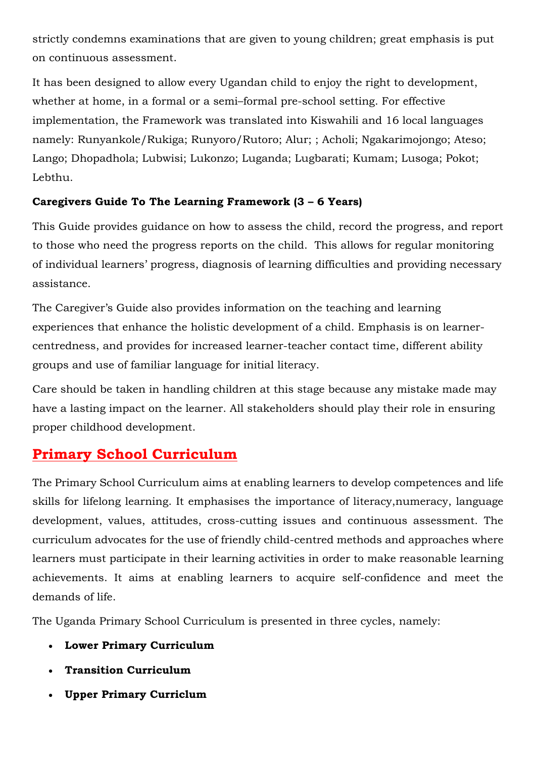strictly condemns examinations that are given to young children; great emphasis is put on continuous assessment.

It has been designed to allow every Ugandan child to enjoy the right to development, whether at home, in a formal or a semi–formal pre-school setting. For effective implementation, the Framework was translated into Kiswahili and 16 local languages namely: Runyankole/Rukiga; Runyoro/Rutoro; Alur; ; Acholi; Ngakarimojongo; Ateso; Lango; Dhopadhola; Lubwisi; Lukonzo; Luganda; Lugbarati; Kumam; Lusoga; Pokot; Lebthu.

#### **Caregivers Guide To The Learning Framework (3 – 6 Years)**

This Guide provides guidance on how to assess the child, record the progress, and report to those who need the progress reports on the child. This allows for regular monitoring of individual learners' progress, diagnosis of learning difficulties and providing necessary assistance.

The Caregiver's Guide also provides information on the teaching and learning experiences that enhance the holistic development of a child. Emphasis is on learnercentredness, and provides for increased learner-teacher contact time, different ability groups and use of familiar language for initial literacy.

Care should be taken in handling children at this stage because any mistake made may have a lasting impact on the learner. All stakeholders should play their role in ensuring proper childhood development.

### **Primary School Curriculum**

The Primary School Curriculum aims at enabling learners to develop competences and life skills for lifelong learning. It emphasises the importance of literacy,numeracy, language development, values, attitudes, cross-cutting issues and continuous assessment. The curriculum advocates for the use of friendly child-centred methods and approaches where learners must participate in their learning activities in order to make reasonable learning achievements. It aims at enabling learners to acquire self-confidence and meet the demands of life.

The Uganda Primary School Curriculum is presented in three cycles, namely:

- **Lower Primary Curriculum**
- **Transition Curriculum**
- **Upper Primary Curriclum**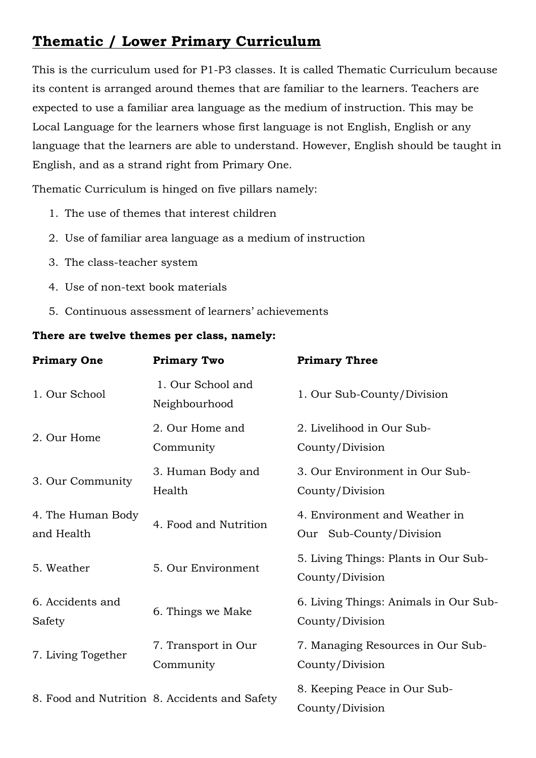### **Thematic / Lower Primary Curriculum**

This is the curriculum used for P1-P3 classes. It is called Thematic Curriculum because its content is arranged around themes that are familiar to the learners. Teachers are expected to use a familiar area language as the medium of instruction. This may be Local Language for the learners whose first language is not English, English or any language that the learners are able to understand. However, English should be taught in English, and as a strand right from Primary One.

Thematic Curriculum is hinged on five pillars namely:

- 1. The use of themes that interest children
- 2. Use of familiar area language as a medium of instruction
- 3. The class-teacher system
- 4. Use of non-text book materials
- 5. Continuous assessment of learners' achievements

#### **There are twelve themes per class, namely:**

| <b>Primary One</b>              | <b>Primary Two</b>                            | <b>Primary Three</b>                                     |
|---------------------------------|-----------------------------------------------|----------------------------------------------------------|
| 1. Our School                   | 1. Our School and<br>Neighbourhood            | 1. Our Sub-County/Division                               |
| 2. Our Home                     | 2. Our Home and<br>Community                  | 2. Livelihood in Our Sub-<br>County/Division             |
| 3. Our Community                | 3. Human Body and<br>Health                   | 3. Our Environment in Our Sub-<br>County/Division        |
| 4. The Human Body<br>and Health | 4. Food and Nutrition                         | 4. Environment and Weather in<br>Our Sub-County/Division |
| 5. Weather                      | 5. Our Environment                            | 5. Living Things: Plants in Our Sub-<br>County/Division  |
| 6. Accidents and<br>Safety      | 6. Things we Make                             | 6. Living Things: Animals in Our Sub-<br>County/Division |
| 7. Living Together              | 7. Transport in Our<br>Community              | 7. Managing Resources in Our Sub-<br>County/Division     |
|                                 | 8. Food and Nutrition 8. Accidents and Safety | 8. Keeping Peace in Our Sub-<br>County/Division          |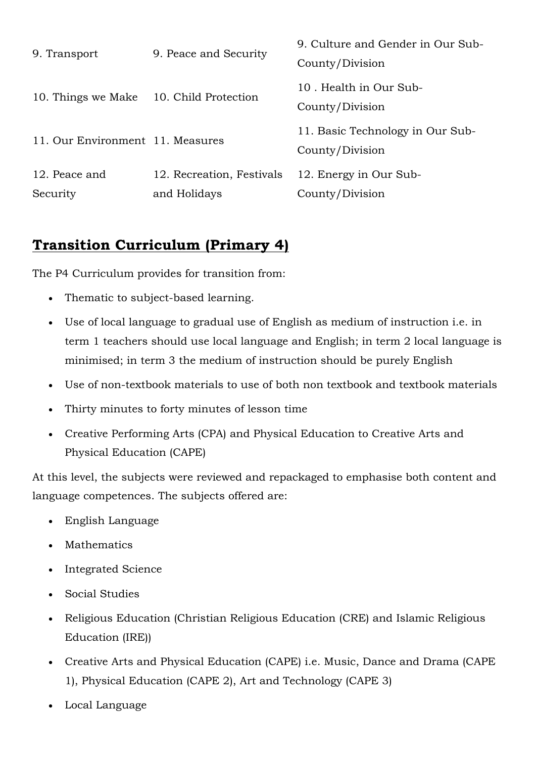| 9. Transport                     | 9. Peace and Security     | 9. Culture and Gender in Our Sub-<br>County/Division |
|----------------------------------|---------------------------|------------------------------------------------------|
| 10. Things we Make               | 10. Child Protection      | 10. Health in Our Sub-<br>County/Division            |
| 11. Our Environment 11. Measures |                           | 11. Basic Technology in Our Sub-<br>County/Division  |
| 12. Peace and                    | 12. Recreation, Festivals | 12. Energy in Our Sub-                               |
| Security                         | and Holidays              | County/Division                                      |

### **Transition Curriculum (Primary 4)**

The P4 Curriculum provides for transition from:

- Thematic to subject-based learning.
- Use of local language to gradual use of English as medium of instruction i.e. in term 1 teachers should use local language and English; in term 2 local language is minimised; in term 3 the medium of instruction should be purely English
- Use of non-textbook materials to use of both non textbook and textbook materials
- Thirty minutes to forty minutes of lesson time
- Creative Performing Arts (CPA) and Physical Education to Creative Arts and Physical Education (CAPE)

At this level, the subjects were reviewed and repackaged to emphasise both content and language competences. The subjects offered are:

- English Language
- **Mathematics**
- Integrated Science
- Social Studies
- Religious Education (Christian Religious Education (CRE) and Islamic Religious Education (IRE))
- Creative Arts and Physical Education (CAPE) i.e. Music, Dance and Drama (CAPE 1), Physical Education (CAPE 2), Art and Technology (CAPE 3)
- Local Language